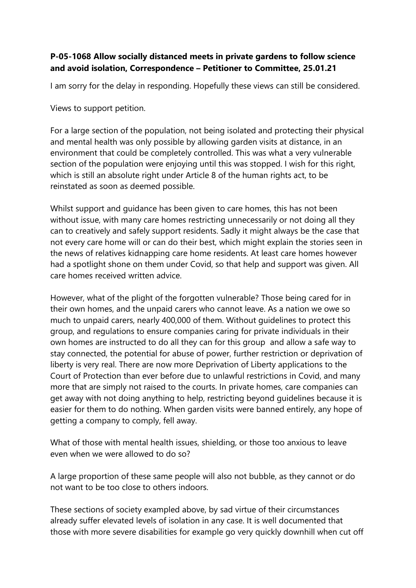## **P-05-1068 Allow socially distanced meets in private gardens to follow science and avoid isolation, Correspondence – Petitioner to Committee, 25.01.21**

I am sorry for the delay in responding. Hopefully these views can still be considered.

Views to support petition.

For a large section of the population, not being isolated and protecting their physical and mental health was only possible by allowing garden visits at distance, in an environment that could be completely controlled. This was what a very vulnerable section of the population were enjoying until this was stopped. I wish for this right, which is still an absolute right under Article 8 of the human rights act, to be reinstated as soon as deemed possible.

Whilst support and guidance has been given to care homes, this has not been without issue, with many care homes restricting unnecessarily or not doing all they can to creatively and safely support residents. Sadly it might always be the case that not every care home will or can do their best, which might explain the stories seen in the news of relatives kidnapping care home residents. At least care homes however had a spotlight shone on them under Covid, so that help and support was given. All care homes received written advice.

However, what of the plight of the forgotten vulnerable? Those being cared for in their own homes, and the unpaid carers who cannot leave. As a nation we owe so much to unpaid carers, nearly 400,000 of them. Without guidelines to protect this group, and regulations to ensure companies caring for private individuals in their own homes are instructed to do all they can for this group and allow a safe way to stay connected, the potential for abuse of power, further restriction or deprivation of liberty is very real. There are now more Deprivation of Liberty applications to the Court of Protection than ever before due to unlawful restrictions in Covid, and many more that are simply not raised to the courts. In private homes, care companies can get away with not doing anything to help, restricting beyond guidelines because it is easier for them to do nothing. When garden visits were banned entirely, any hope of getting a company to comply, fell away.

What of those with mental health issues, shielding, or those too anxious to leave even when we were allowed to do so?

A large proportion of these same people will also not bubble, as they cannot or do not want to be too close to others indoors.

These sections of society exampled above, by sad virtue of their circumstances already suffer elevated levels of isolation in any case. It is well documented that those with more severe disabilities for example go very quickly downhill when cut off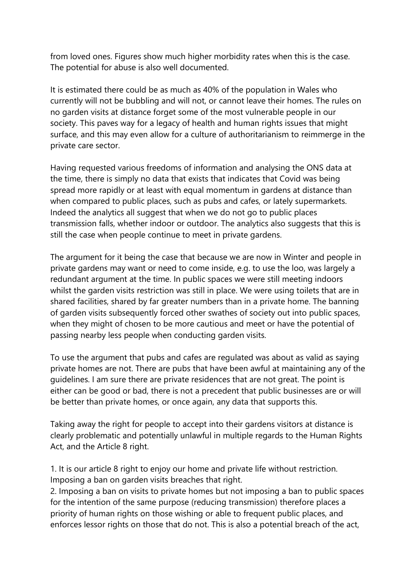from loved ones. Figures show much higher morbidity rates when this is the case. The potential for abuse is also well documented.

It is estimated there could be as much as 40% of the population in Wales who currently will not be bubbling and will not, or cannot leave their homes. The rules on no garden visits at distance forget some of the most vulnerable people in our society. This paves way for a legacy of health and human rights issues that might surface, and this may even allow for a culture of authoritarianism to reimmerge in the private care sector.

Having requested various freedoms of information and analysing the ONS data at the time, there is simply no data that exists that indicates that Covid was being spread more rapidly or at least with equal momentum in gardens at distance than when compared to public places, such as pubs and cafes, or lately supermarkets. Indeed the analytics all suggest that when we do not go to public places transmission falls, whether indoor or outdoor. The analytics also suggests that this is still the case when people continue to meet in private gardens.

The argument for it being the case that because we are now in Winter and people in private gardens may want or need to come inside, e.g. to use the loo, was largely a redundant argument at the time. In public spaces we were still meeting indoors whilst the garden visits restriction was still in place. We were using toilets that are in shared facilities, shared by far greater numbers than in a private home. The banning of garden visits subsequently forced other swathes of society out into public spaces, when they might of chosen to be more cautious and meet or have the potential of passing nearby less people when conducting garden visits.

To use the argument that pubs and cafes are regulated was about as valid as saying private homes are not. There are pubs that have been awful at maintaining any of the guidelines. I am sure there are private residences that are not great. The point is either can be good or bad, there is not a precedent that public businesses are or will be better than private homes, or once again, any data that supports this.

Taking away the right for people to accept into their gardens visitors at distance is clearly problematic and potentially unlawful in multiple regards to the Human Rights Act, and the Article 8 right.

1. It is our article 8 right to enjoy our home and private life without restriction. Imposing a ban on garden visits breaches that right.

2. Imposing a ban on visits to private homes but not imposing a ban to public spaces for the intention of the same purpose (reducing transmission) therefore places a priority of human rights on those wishing or able to frequent public places, and enforces lessor rights on those that do not. This is also a potential breach of the act,